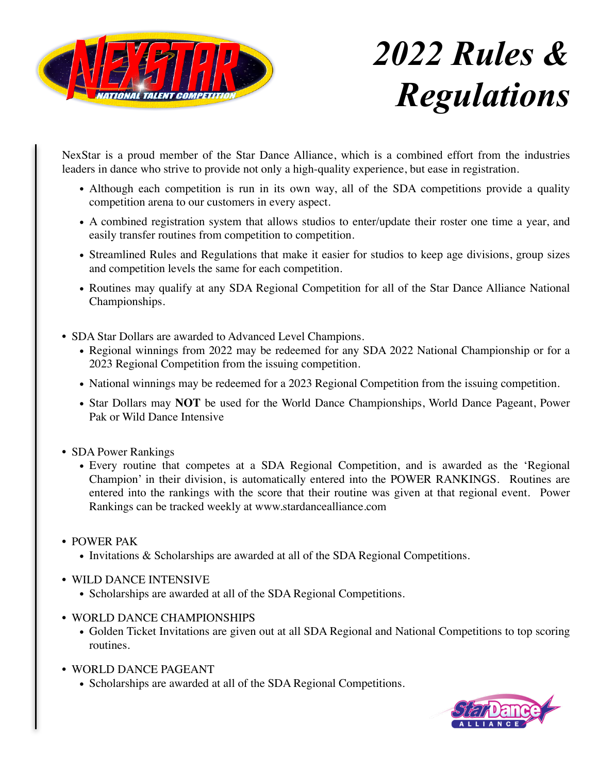

# *2022 Rules & Regulations*

NexStar is a proud member of the Star Dance Alliance, which is a combined effort from the industries leaders in dance who strive to provide not only a high-quality experience, but ease in registration.

- Although each competition is run in its own way, all of the SDA competitions provide a quality competition arena to our customers in every aspect.
- A combined registration system that allows studios to enter/update their roster one time a year, and easily transfer routines from competition to competition.
- Streamlined Rules and Regulations that make it easier for studios to keep age divisions, group sizes and competition levels the same for each competition.
- Routines may qualify at any SDA Regional Competition for all of the Star Dance Alliance National Championships.
- SDA Star Dollars are awarded to Advanced Level Champions.
	- Regional winnings from 2022 may be redeemed for any SDA 2022 National Championship or for a 2023 Regional Competition from the issuing competition.
	- National winnings may be redeemed for a 2023 Regional Competition from the issuing competition.
	- Star Dollars may **NOT** be used for the World Dance Championships, World Dance Pageant, Power Pak or Wild Dance Intensive
- SDA Power Rankings
	- Every routine that competes at a SDA Regional Competition, and is awarded as the 'Regional Champion' in their division, is automatically entered into the POWER RANKINGS. Routines are entered into the rankings with the score that their routine was given at that regional event. Power Rankings can be tracked weekly at [www.stardancealliance.com](http://www.stardancealliance.com)
- POWER PAK
	- Invitations & Scholarships are awarded at all of the SDA Regional Competitions.
- WILD DANCE INTENSIVE
	- Scholarships are awarded at all of the SDA Regional Competitions.
- WORLD DANCE CHAMPIONSHIPS
	- Golden Ticket Invitations are given out at all SDA Regional and National Competitions to top scoring routines.
- WORLD DANCE PAGEANT
	- Scholarships are awarded at all of the SDA Regional Competitions.

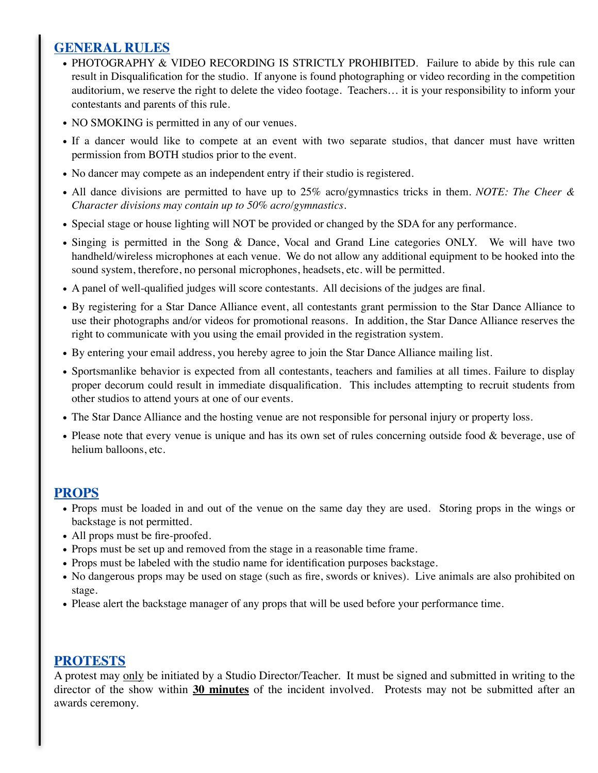# **GENERAL RULES**

- PHOTOGRAPHY & VIDEO RECORDING IS STRICTLY PROHIBITED. Failure to abide by this rule can result in Disqualification for the studio. If anyone is found photographing or video recording in the competition auditorium, we reserve the right to delete the video footage. Teachers… it is your responsibility to inform your contestants and parents of this rule.
- NO SMOKING is permitted in any of our venues.
- If a dancer would like to compete at an event with two separate studios, that dancer must have written permission from BOTH studios prior to the event.
- No dancer may compete as an independent entry if their studio is registered.
- All dance divisions are permitted to have up to 25% acro/gymnastics tricks in them. *NOTE: The Cheer & Character divisions may contain up to 50% acro/gymnastics.*
- Special stage or house lighting will NOT be provided or changed by the SDA for any performance.
- Singing is permitted in the Song & Dance, Vocal and Grand Line categories ONLY. We will have two handheld/wireless microphones at each venue. We do not allow any additional equipment to be hooked into the sound system, therefore, no personal microphones, headsets, etc. will be permitted.
- A panel of well-qualified judges will score contestants. All decisions of the judges are final.
- By registering for a Star Dance Alliance event, all contestants grant permission to the Star Dance Alliance to use their photographs and/or videos for promotional reasons. In addition, the Star Dance Alliance reserves the right to communicate with you using the email provided in the registration system.
- By entering your email address, you hereby agree to join the Star Dance Alliance mailing list.
- Sportsmanlike behavior is expected from all contestants, teachers and families at all times. Failure to display proper decorum could result in immediate disqualification. This includes attempting to recruit students from other studios to attend yours at one of our events.
- The Star Dance Alliance and the hosting venue are not responsible for personal injury or property loss.
- Please note that every venue is unique and has its own set of rules concerning outside food & beverage, use of helium balloons, etc.

## **PROPS**

- Props must be loaded in and out of the venue on the same day they are used. Storing props in the wings or backstage is not permitted.
- All props must be fire-proofed.
- Props must be set up and removed from the stage in a reasonable time frame.
- Props must be labeled with the studio name for identification purposes backstage.
- No dangerous props may be used on stage (such as fire, swords or knives). Live animals are also prohibited on stage.
- Please alert the backstage manager of any props that will be used before your performance time.

## **PROTESTS**

A protest may only be initiated by a Studio Director/Teacher. It must be signed and submitted in writing to the director of the show within **30 minutes** of the incident involved. Protests may not be submitted after an awards ceremony.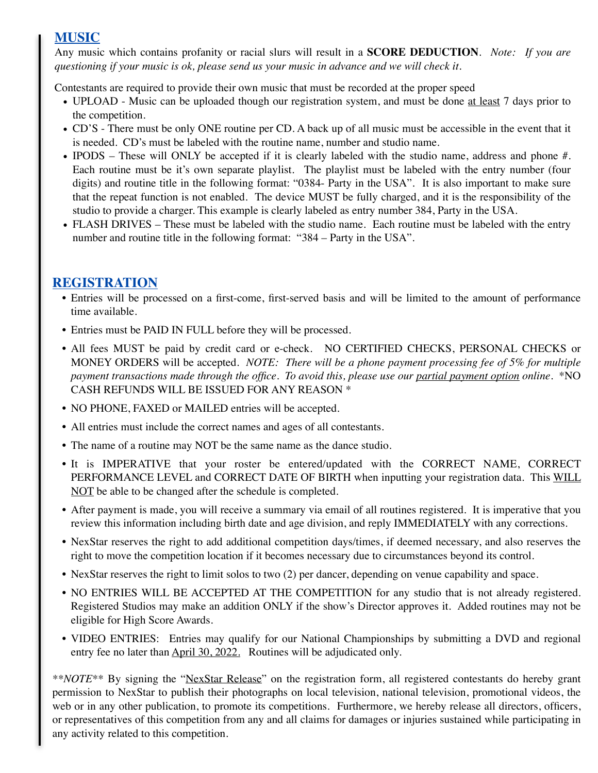# **MUSIC**

Any music which contains profanity or racial slurs will result in a **SCORE DEDUCTION**. *Note: If you are questioning if your music is ok, please send us your music in advance and we will check it.* 

Contestants are required to provide their own music that must be recorded at the proper speed

- UPLOAD Music can be uploaded though our registration system, and must be done at least 7 days prior to the competition.
- CD'S There must be only ONE routine per CD. A back up of all music must be accessible in the event that it is needed. CD's must be labeled with the routine name, number and studio name.
- IPODS These will ONLY be accepted if it is clearly labeled with the studio name, address and phone #. Each routine must be it's own separate playlist. The playlist must be labeled with the entry number (four digits) and routine title in the following format: "0384- Party in the USA". It is also important to make sure that the repeat function is not enabled. The device MUST be fully charged, and it is the responsibility of the studio to provide a charger. This example is clearly labeled as entry number 384, Party in the USA.
- FLASH DRIVES These must be labeled with the studio name. Each routine must be labeled with the entry number and routine title in the following format: "384 – Party in the USA".

# **REGISTRATION**

- Entries will be processed on a first-come, first-served basis and will be limited to the amount of performance time available.
- Entries must be PAID IN FULL before they will be processed.
- All fees MUST be paid by credit card or e-check. NO CERTIFIED CHECKS, PERSONAL CHECKS or MONEY ORDERS will be accepted. *NOTE: There will be a phone payment processing fee of 5% for multiple payment transactions made through the office. To avoid this, please use our partial payment option online.* \*NO CASH REFUNDS WILL BE ISSUED FOR ANY REASON \*
- NO PHONE, FAXED or MAILED entries will be accepted.
- All entries must include the correct names and ages of all contestants.
- The name of a routine may NOT be the same name as the dance studio.
- It is IMPERATIVE that your roster be entered/updated with the CORRECT NAME, CORRECT PERFORMANCE LEVEL and CORRECT DATE OF BIRTH when inputting your registration data. This WILL NOT be able to be changed after the schedule is completed.
- After payment is made, you will receive a summary via email of all routines registered. It is imperative that you review this information including birth date and age division, and reply IMMEDIATELY with any corrections.
- NexStar reserves the right to add additional competition days/times, if deemed necessary, and also reserves the right to move the competition location if it becomes necessary due to circumstances beyond its control.
- NexStar reserves the right to limit solos to two (2) per dancer, depending on venue capability and space.
- NO ENTRIES WILL BE ACCEPTED AT THE COMPETITION for any studio that is not already registered. Registered Studios may make an addition ONLY if the show's Director approves it. Added routines may not be eligible for High Score Awards.
- VIDEO ENTRIES: Entries may qualify for our National Championships by submitting a DVD and regional entry fee no later than April 30, 2022. Routines will be adjudicated only.

*\*\*NOTE\*\** By signing the "NexStar Release" on the registration form, all registered contestants do hereby grant permission to NexStar to publish their photographs on local television, national television, promotional videos, the web or in any other publication, to promote its competitions. Furthermore, we hereby release all directors, officers, or representatives of this competition from any and all claims for damages or injuries sustained while participating in any activity related to this competition.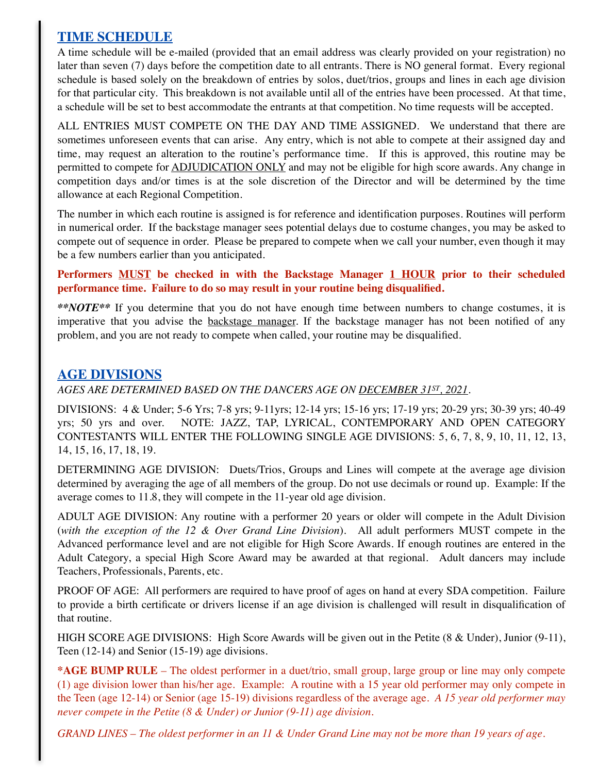# **TIME SCHEDULE**

A time schedule will be e-mailed (provided that an email address was clearly provided on your registration) no later than seven (7) days before the competition date to all entrants. There is NO general format. Every regional schedule is based solely on the breakdown of entries by solos, duet/trios, groups and lines in each age division for that particular city. This breakdown is not available until all of the entries have been processed. At that time, a schedule will be set to best accommodate the entrants at that competition. No time requests will be accepted.

ALL ENTRIES MUST COMPETE ON THE DAY AND TIME ASSIGNED. We understand that there are sometimes unforeseen events that can arise. Any entry, which is not able to compete at their assigned day and time, may request an alteration to the routine's performance time. If this is approved, this routine may be permitted to compete for ADJUDICATION ONLY and may not be eligible for high score awards. Any change in competition days and/or times is at the sole discretion of the Director and will be determined by the time allowance at each Regional Competition.

The number in which each routine is assigned is for reference and identification purposes. Routines will perform in numerical order. If the backstage manager sees potential delays due to costume changes, you may be asked to compete out of sequence in order. Please be prepared to compete when we call your number, even though it may be a few numbers earlier than you anticipated.

## **Performers MUST be checked in with the Backstage Manager 1 HOUR prior to their scheduled performance time. Failure to do so may result in your routine being disqualified.**

*\*\*NOTE\*\** If you determine that you do not have enough time between numbers to change costumes, it is imperative that you advise the **backstage manager**. If the backstage manager has not been notified of any problem, and you are not ready to compete when called, your routine may be disqualified.

# **AGE DIVISIONS**

*AGES ARE DETERMINED BASED ON THE DANCERS AGE ON DECEMBER 31ST, 2021.*

DIVISIONS: 4 & Under; 5-6 Yrs; 7-8 yrs; 9-11yrs; 12-14 yrs; 15-16 yrs; 17-19 yrs; 20-29 yrs; 30-39 yrs; 40-49 yrs; 50 yrs and over. NOTE: JAZZ, TAP, LYRICAL, CONTEMPORARY AND OPEN CATEGORY CONTESTANTS WILL ENTER THE FOLLOWING SINGLE AGE DIVISIONS: 5, 6, 7, 8, 9, 10, 11, 12, 13, 14, 15, 16, 17, 18, 19.

DETERMINING AGE DIVISION: Duets/Trios, Groups and Lines will compete at the average age division determined by averaging the age of all members of the group. Do not use decimals or round up. Example: If the average comes to 11.8, they will compete in the 11-year old age division.

ADULT AGE DIVISION: Any routine with a performer 20 years or older will compete in the Adult Division (*with the exception of the 12 & Over Grand Line Division*). All adult performers MUST compete in the Advanced performance level and are not eligible for High Score Awards. If enough routines are entered in the Adult Category, a special High Score Award may be awarded at that regional. Adult dancers may include Teachers, Professionals, Parents, etc.

PROOF OF AGE: All performers are required to have proof of ages on hand at every SDA competition. Failure to provide a birth certificate or drivers license if an age division is challenged will result in disqualification of that routine.

HIGH SCORE AGE DIVISIONS: High Score Awards will be given out in the Petite (8 & Under), Junior (9-11), Teen (12-14) and Senior (15-19) age divisions.

**\*AGE BUMP RULE** – The oldest performer in a duet/trio, small group, large group or line may only compete (1) age division lower than his/her age. Example: A routine with a 15 year old performer may only compete in the Teen (age 12-14) or Senior (age 15-19) divisions regardless of the average age. *A 15 year old performer may never compete in the Petite (8 & Under) or Junior (9-11) age division.*

*GRAND LINES – The oldest performer in an 11 & Under Grand Line may not be more than 19 years of age.*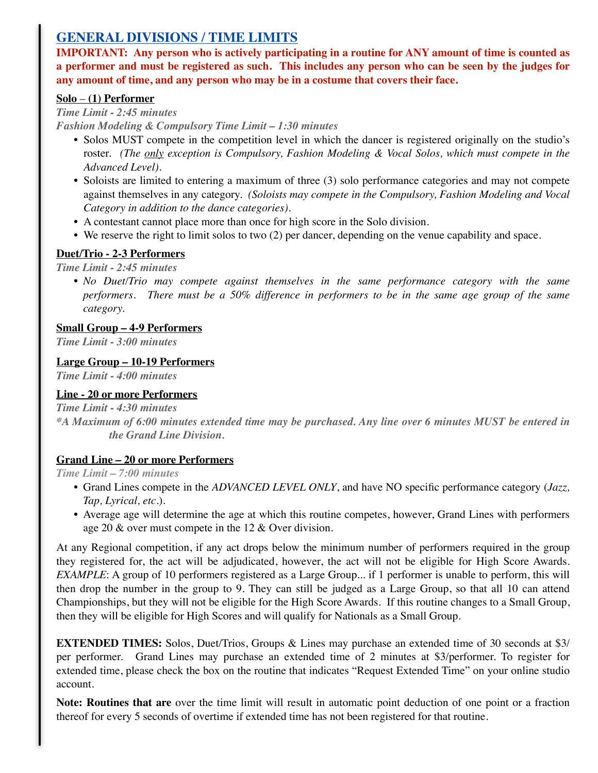# **GENERAL DIVISIONS / TIME LIMITS**

**IMPORTANT: Any person who is actively participating in a routine for ANY amount of time is counted as a performer and must be registered as such. This includes any person who can be seen by the judges for any amount of time, and any person who may be in a costume that covers their face.**

## **Solo** – **(1) Performer**

## *Time Limit - 2:45 minutes*

*Fashion Modeling & Compulsory Time Limit – 1:30 minutes*

- Solos MUST compete in the competition level in which the dancer is registered originally on the studio's roster. *(The only exception is Compulsory, Fashion Modeling & Vocal Solos, which must compete in the Advanced Level).*
- Soloists are limited to entering a maximum of three (3) solo performance categories and may not compete against themselves in any category. *(Soloists may compete in the Compulsory, Fashion Modeling and Vocal Category in addition to the dance categories).*
- A contestant cannot place more than once for high score in the Solo division.
- We reserve the right to limit solos to two (2) per dancer, depending on the venue capability and space.

# **Duet/Trio - 2-3 Performers**

*Time Limit - 2:45 minutes*

• *No Duet/Trio may compete against themselves in the same performance category with the same performers. There must be a 50% difference in performers to be in the same age group of the same category.*

## **Small Group – 4-9 Performers**

*Time Limit - 3:00 minutes*

## **Large Group – 10-19 Performers**

*Time Limit - 4:00 minutes*

## **Line - 20 or more Performers**

*Time Limit - 4:30 minutes*

*\*A Maximum of 6:00 minutes extended time may be purchased. Any line over 6 minutes MUST be entered in the Grand Line Division.* 

# **Grand Line – 20 or more Performers**

*Time Limit – 7:00 minutes*

- Grand Lines compete in the *ADVANCED LEVEL ONLY*, and have NO specific performance category (*Jazz, Tap, Lyrical, etc*.).
- Average age will determine the age at which this routine competes, however, Grand Lines with performers age 20 & over must compete in the 12 & Over division*.*

At any Regional competition, if any act drops below the minimum number of performers required in the group they registered for, the act will be adjudicated, however, the act will not be eligible for High Score Awards. *EXAMPLE*: A group of 10 performers registered as a Large Group... if 1 performer is unable to perform, this will then drop the number in the group to 9. They can still be judged as a Large Group, so that all 10 can attend Championships, but they will not be eligible for the High Score Awards. If this routine changes to a Small Group, then they will be eligible for High Scores and will qualify for Nationals as a Small Group.

**EXTENDED TIMES:** Solos, Duet/Trios, Groups & Lines may purchase an extended time of 30 seconds at \$3/ per performer. Grand Lines may purchase an extended time of 2 minutes at \$3/performer. To register for extended time, please check the box on the routine that indicates "Request Extended Time" on your online studio account.

**Note: Routines that are** over the time limit will result in automatic point deduction of one point or a fraction thereof for every 5 seconds of overtime if extended time has not been registered for that routine.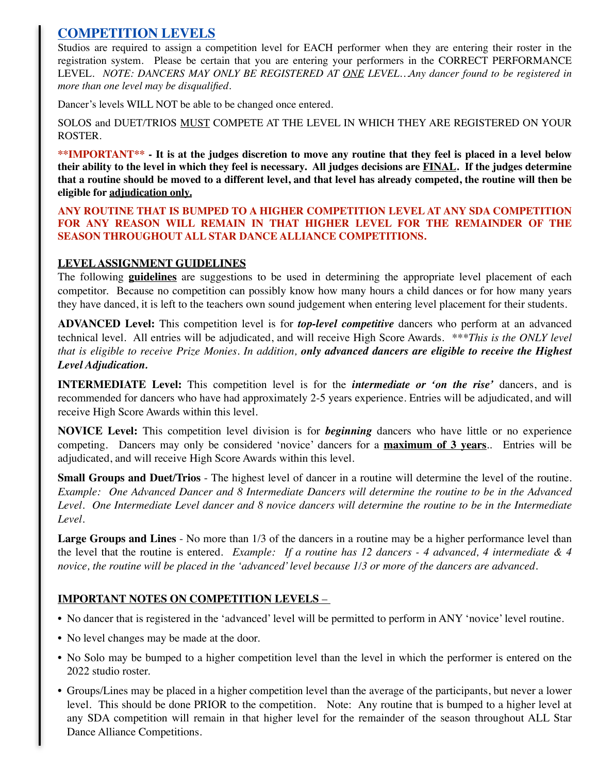# **COMPETITION LEVELS**

Studios are required to assign a competition level for EACH performer when they are entering their roster in the registration system. Please be certain that you are entering your performers in the CORRECT PERFORMANCE LEVEL. *NOTE: DANCERS MAY ONLY BE REGISTERED AT ONE LEVEL…Any dancer found to be registered in more than one level may be disqualified.*

Dancer's levels WILL NOT be able to be changed once entered.

SOLOS and DUET/TRIOS MUST COMPETE AT THE LEVEL IN WHICH THEY ARE REGISTERED ON YOUR ROSTER.

**\*\*IMPORTANT\*\* - It is at the judges discretion to move any routine that they feel is placed in a level below their ability to the level in which they feel is necessary. All judges decisions are FINAL. If the judges determine that a routine should be moved to a different level, and that level has already competed, the routine will then be eligible for adjudication only.**

**ANY ROUTINE THAT IS BUMPED TO A HIGHER COMPETITION LEVEL AT ANY SDA COMPETITION FOR ANY REASON WILL REMAIN IN THAT HIGHER LEVEL FOR THE REMAINDER OF THE SEASON THROUGHOUT ALL STAR DANCE ALLIANCE COMPETITIONS.** 

## **LEVEL ASSIGNMENT GUIDELINES**

The following **guidelines** are suggestions to be used in determining the appropriate level placement of each competitor. Because no competition can possibly know how many hours a child dances or for how many years they have danced, it is left to the teachers own sound judgement when entering level placement for their students.

**ADVANCED Level:** This competition level is for *top-level competitive* dancers who perform at an advanced technical level. All entries will be adjudicated, and will receive High Score Awards. *\*\*\*This is the ONLY level that is eligible to receive Prize Monies. In addition, only advanced dancers are eligible to receive the Highest Level Adjudication.*

**INTERMEDIATE Level:** This competition level is for the *intermediate or 'on the rise'* dancers, and is recommended for dancers who have had approximately 2-5 years experience. Entries will be adjudicated, and will receive High Score Awards within this level.

**NOVICE Level:** This competition level division is for *beginning* dancers who have little or no experience competing. Dancers may only be considered 'novice' dancers for a **maximum of 3 years**.. Entries will be adjudicated, and will receive High Score Awards within this level.

**Small Groups and Duet/Trios** - The highest level of dancer in a routine will determine the level of the routine. *Example: One Advanced Dancer and 8 Intermediate Dancers will determine the routine to be in the Advanced Level. One Intermediate Level dancer and 8 novice dancers will determine the routine to be in the Intermediate Level.*

Large Groups and Lines - No more than  $1/3$  of the dancers in a routine may be a higher performance level than the level that the routine is entered. *Example: If a routine has 12 dancers - 4 advanced, 4 intermediate & 4 novice, the routine will be placed in the 'advanced' level because 1/3 or more of the dancers are advanced.* 

## **IMPORTANT NOTES ON COMPETITION LEVELS** –

- No dancer that is registered in the 'advanced' level will be permitted to perform in ANY 'novice' level routine.
- No level changes may be made at the door.
- No Solo may be bumped to a higher competition level than the level in which the performer is entered on the 2022 studio roster.
- Groups/Lines may be placed in a higher competition level than the average of the participants, but never a lower level. This should be done PRIOR to the competition. Note: Any routine that is bumped to a higher level at any SDA competition will remain in that higher level for the remainder of the season throughout ALL Star Dance Alliance Competitions.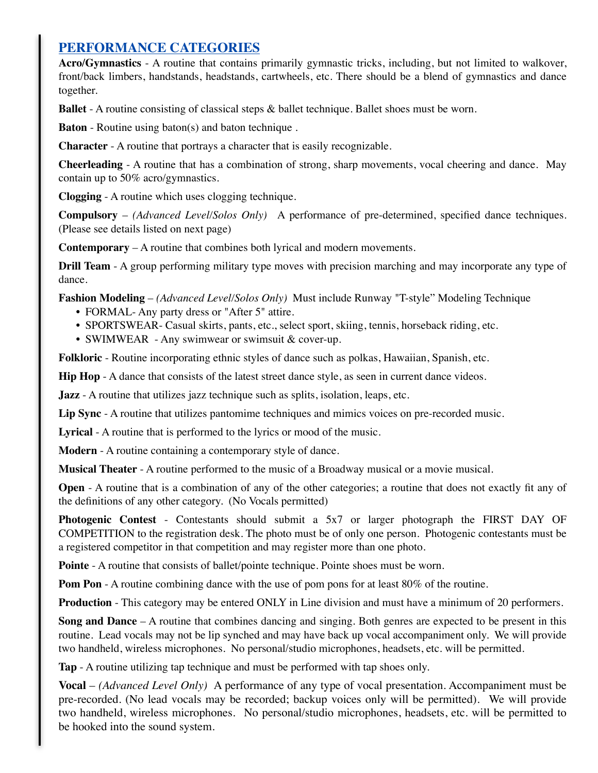# **PERFORMANCE CATEGORIES**

**Acro/Gymnastics** - A routine that contains primarily gymnastic tricks, including, but not limited to walkover, front/back limbers, handstands, headstands, cartwheels, etc. There should be a blend of gymnastics and dance together.

**Ballet** - A routine consisting of classical steps & ballet technique. Ballet shoes must be worn.

**Baton** - Routine using baton(s) and baton technique .

**Character** - A routine that portrays a character that is easily recognizable.

**Cheerleading** - A routine that has a combination of strong, sharp movements, vocal cheering and dance. May contain up to 50% acro/gymnastics.

**Clogging** - A routine which uses clogging technique.

**Compulsory** – *(Advanced Level/Solos Only)* A performance of pre-determined, specified dance techniques. (Please see details listed on next page)

**Contemporary** – A routine that combines both lyrical and modern movements.

**Drill Team** - A group performing military type moves with precision marching and may incorporate any type of dance.

**Fashion Modeling** – *(Advanced Level/Solos Only)* Must include Runway "T-style" Modeling Technique

- FORMAL-Any party dress or "After 5" attire.
- SPORTSWEAR- Casual skirts, pants, etc., select sport, skiing, tennis, horseback riding, etc.
- SWIMWEAR Any swimwear or swimsuit & cover-up.

**Folkloric** - Routine incorporating ethnic styles of dance such as polkas, Hawaiian, Spanish, etc.

**Hip Hop** - A dance that consists of the latest street dance style, as seen in current dance videos.

**Jazz** - A routine that utilizes jazz technique such as splits, isolation, leaps, etc.

**Lip Sync** - A routine that utilizes pantomime techniques and mimics voices on pre-recorded music.

**Lyrical** - A routine that is performed to the lyrics or mood of the music.

**Modern** - A routine containing a contemporary style of dance.

**Musical Theater** - A routine performed to the music of a Broadway musical or a movie musical.

**Open** - A routine that is a combination of any of the other categories; a routine that does not exactly fit any of the definitions of any other category. (No Vocals permitted)

**Photogenic Contest** - Contestants should submit a 5x7 or larger photograph the FIRST DAY OF COMPETITION to the registration desk. The photo must be of only one person. Photogenic contestants must be a registered competitor in that competition and may register more than one photo.

**Pointe** - A routine that consists of ballet/pointe technique. Pointe shoes must be worn.

**Pom Pon** - A routine combining dance with the use of pom pons for at least 80% of the routine.

**Production** - This category may be entered ONLY in Line division and must have a minimum of 20 performers.

**Song and Dance** – A routine that combines dancing and singing. Both genres are expected to be present in this routine. Lead vocals may not be lip synched and may have back up vocal accompaniment only. We will provide two handheld, wireless microphones. No personal/studio microphones, headsets, etc. will be permitted.

**Tap** - A routine utilizing tap technique and must be performed with tap shoes only.

**Vocal** – *(Advanced Level Only)* A performance of any type of vocal presentation. Accompaniment must be pre-recorded. (No lead vocals may be recorded; backup voices only will be permitted). We will provide two handheld, wireless microphones. No personal/studio microphones, headsets, etc. will be permitted to be hooked into the sound system.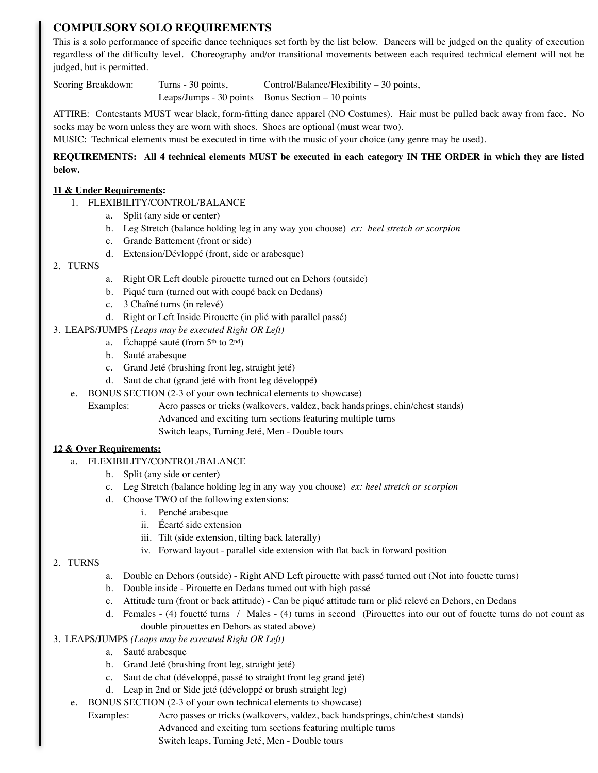# **COMPULSORY SOLO REQUIREMENTS**

This is a solo performance of specific dance techniques set forth by the list below. Dancers will be judged on the quality of execution regardless of the difficulty level. Choreography and/or transitional movements between each required technical element will not be judged, but is permitted.

Scoring Breakdown: Turns - 30 points, Control/Balance/Flexibility – 30 points, Leaps/Jumps - 30 points Bonus Section – 10 points

ATTIRE: Contestants MUST wear black, form-fitting dance apparel (NO Costumes). Hair must be pulled back away from face. No socks may be worn unless they are worn with shoes. Shoes are optional (must wear two).

MUSIC: Technical elements must be executed in time with the music of your choice (any genre may be used).

#### **REQUIREMENTS: All 4 technical elements MUST be executed in each category IN THE ORDER in which they are listed below.**

#### **11 & Under Requirements:**

- 1. FLEXIBILITY/CONTROL/BALANCE
	- a. Split (any side or center)
	- b. Leg Stretch (balance holding leg in any way you choose) *ex: heel stretch or scorpion*
	- c. Grande Battement (front or side)
	- d. Extension/Dévloppé (front, side or arabesque)

#### 2. TURNS

- a. Right OR Left double pirouette turned out en Dehors (outside)
- b. Piqué turn (turned out with coupé back en Dedans)
- c. 3 Chaîné turns (in relevé)
- d. Right or Left Inside Pirouette (in plié with parallel passé)
- 3. LEAPS/JUMPS *(Leaps may be executed Right OR Left)*
	- a. Échappé sauté (from  $5<sup>th</sup>$  to  $2<sup>nd</sup>$ )
	- b. Sauté arabesque
	- c. Grand Jeté (brushing front leg, straight jeté)
	- d. Saut de chat (grand jeté with front leg développé)
	- e. BONUS SECTION (2-3 of your own technical elements to showcase)
		- Examples: Acro passes or tricks (walkovers, valdez, back handsprings, chin/chest stands) Advanced and exciting turn sections featuring multiple turns Switch leaps, Turning Jeté, Men - Double tours

#### **12 & Over Requirements:**

- a. FLEXIBILITY/CONTROL/BALANCE
	- b. Split (any side or center)
	- c. Leg Stretch (balance holding leg in any way you choose) *ex: heel stretch or scorpion*
	- d. Choose TWO of the following extensions:
		- i. Penché arabesque
		- ii. Écarté side extension
		- iii. Tilt (side extension, tilting back laterally)
		- iv. Forward layout parallel side extension with flat back in forward position

#### 2. TURNS

- a. Double en Dehors (outside) Right AND Left pirouette with passé turned out (Not into fouette turns)
- b. Double inside Pirouette en Dedans turned out with high passé
- c. Attitude turn (front or back attitude) Can be piqué attitude turn or plié relevé en Dehors, en Dedans
- d. Females (4) fouetté turns / Males (4) turns in second (Pirouettes into our out of fouette turns do not count as double pirouettes en Dehors as stated above)

#### 3. LEAPS/JUMPS *(Leaps may be executed Right OR Left)*

- a. Sauté arabesque
- b. Grand Jeté (brushing front leg, straight jeté)
- c. Saut de chat (développé, passé to straight front leg grand jeté)
- d. Leap in 2nd or Side jeté (développé or brush straight leg)
- e. BONUS SECTION (2-3 of your own technical elements to showcase)
	- Examples: Acro passes or tricks (walkovers, valdez, back handsprings, chin/chest stands)

Advanced and exciting turn sections featuring multiple turns

Switch leaps, Turning Jeté, Men - Double tours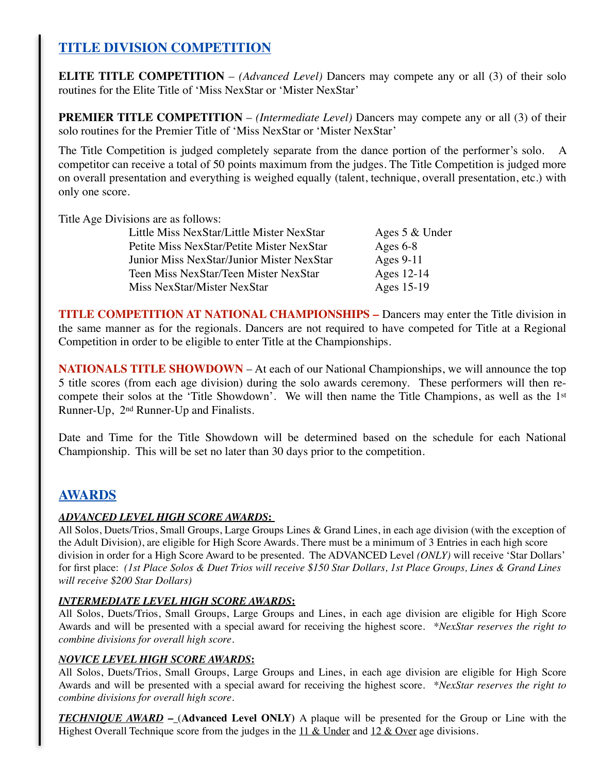# **TITLE DIVISION COMPETITION**

**ELITE TITLE COMPETITION** – *(Advanced Level)* Dancers may compete any or all (3) of their solo routines for the Elite Title of 'Miss NexStar or 'Mister NexStar'

**PREMIER TITLE COMPETITION** – *(Intermediate Level)* Dancers may compete any or all (3) of their solo routines for the Premier Title of 'Miss NexStar or 'Mister NexStar'

The Title Competition is judged completely separate from the dance portion of the performer's solo. A competitor can receive a total of 50 points maximum from the judges. The Title Competition is judged more on overall presentation and everything is weighed equally (talent, technique, overall presentation, etc.) with only one score.

Title Age Divisions are as follows:

| Little Miss NexStar/Little Mister NexStar | Ages 5 & Under |
|-------------------------------------------|----------------|
| Petite Miss NexStar/Petite Mister NexStar | Ages $6-8$     |
| Junior Miss NexStar/Junior Mister NexStar | Ages $9-11$    |
| Teen Miss NexStar/Teen Mister NexStar     | Ages 12-14     |
| Miss NexStar/Mister NexStar               | Ages 15-19     |

**TITLE COMPETITION AT NATIONAL CHAMPIONSHIPS –** Dancers may enter the Title division in the same manner as for the regionals. Dancers are not required to have competed for Title at a Regional Competition in order to be eligible to enter Title at the Championships.

**NATIONALS TITLE SHOWDOWN** – At each of our National Championships, we will announce the top 5 title scores (from each age division) during the solo awards ceremony. These performers will then recompete their solos at the 'Title Showdown'. We will then name the Title Champions, as well as the 1st Runner-Up, 2nd Runner-Up and Finalists.

Date and Time for the Title Showdown will be determined based on the schedule for each National Championship. This will be set no later than 30 days prior to the competition.

# **AWARDS**

### *ADVANCED LEVEL HIGH SCORE AWARDS***:**

All Solos, Duets/Trios, Small Groups, Large Groups Lines & Grand Lines, in each age division (with the exception of the Adult Division), are eligible for High Score Awards. There must be a minimum of 3 Entries in each high score division in order for a High Score Award to be presented. The ADVANCED Level *(ONLY)* will receive 'Star Dollars' for first place: *(1st Place Solos & Duet Trios will receive \$150 Star Dollars, 1st Place Groups, Lines & Grand Lines will receive \$200 Star Dollars)*

#### *INTERMEDIATE LEVEL HIGH SCORE AWARDS***:**

All Solos, Duets/Trios, Small Groups, Large Groups and Lines, in each age division are eligible for High Score Awards and will be presented with a special award for receiving the highest score. *\*NexStar reserves the right to combine divisions for overall high score.*

#### *NOVICE LEVEL HIGH SCORE AWARDS***:**

All Solos, Duets/Trios, Small Groups, Large Groups and Lines, in each age division are eligible for High Score Awards and will be presented with a special award for receiving the highest score. *\*NexStar reserves the right to combine divisions for overall high score.*

*TECHNIQUE AWARD* **–** (**Advanced Level ONLY)** A plaque will be presented for the Group or Line with the Highest Overall Technique score from the judges in the  $11 \& Under$  and  $12 \& Over$  age divisions.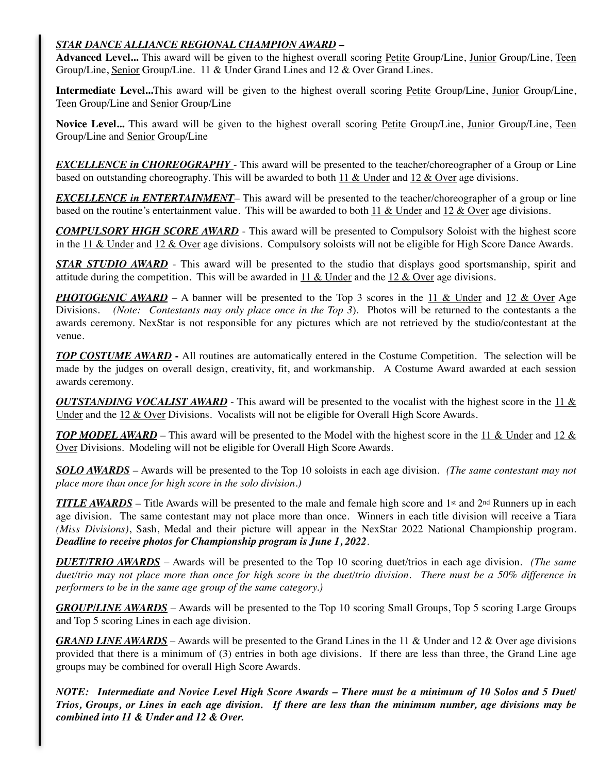## *STAR DANCE ALLIANCE REGIONAL CHAMPION AWARD* **–**

Advanced Level... This award will be given to the highest overall scoring Petite Group/Line, Junior Group/Line, Teen Group/Line, Senior Group/Line. 11 & Under Grand Lines and 12 & Over Grand Lines.

**Intermediate Level...**This award will be given to the highest overall scoring Petite Group/Line, Junior Group/Line, Teen Group/Line and Senior Group/Line

**Novice Level...** This award will be given to the highest overall scoring Petite Group/Line, Junior Group/Line, Teen Group/Line and Senior Group/Line

*EXCELLENCE in CHOREOGRAPHY* - This award will be presented to the teacher/choreographer of a Group or Line based on outstanding choreography. This will be awarded to both  $11 \&$  Under and  $12 \&$  Over age divisions.

*EXCELLENCE in ENTERTAINMENT*– This award will be presented to the teacher/choreographer of a group or line based on the routine's entertainment value. This will be awarded to both 11 & Under and 12 & Over age divisions.

*COMPULSORY HIGH SCORE AWARD* - This award will be presented to Compulsory Soloist with the highest score in the 11 & Under and 12 & Over age divisions. Compulsory soloists will not be eligible for High Score Dance Awards.

*STAR STUDIO AWARD* - This award will be presented to the studio that displays good sportsmanship, spirit and attitude during the competition. This will be awarded in  $11 \&$  Under and the  $12 \&$  Over age divisions.

*PHOTOGENIC AWARD* – A banner will be presented to the Top 3 scores in the 11 & Under and 12 & Over Age Divisions. *(Note: Contestants may only place once in the Top 3*). Photos will be returned to the contestants a the awards ceremony. NexStar is not responsible for any pictures which are not retrieved by the studio/contestant at the venue.

*TOP COSTUME AWARD* **-** All routines are automatically entered in the Costume Competition. The selection will be made by the judges on overall design, creativity, fit, and workmanship. A Costume Award awarded at each session awards ceremony.

*OUTSTANDING VOCALIST AWARD* - This award will be presented to the vocalist with the highest score in the 11 & Under and the 12 & Over Divisions. Vocalists will not be eligible for Overall High Score Awards.

*TOP MODEL AWARD* – This award will be presented to the Model with the highest score in the 11 & Under and 12 & Over Divisions. Modeling will not be eligible for Overall High Score Awards.

*SOLO AWARDS* – Awards will be presented to the Top 10 soloists in each age division. *(The same contestant may not place more than once for high score in the solo division.)*

*TITLE AWARDS* – Title Awards will be presented to the male and female high score and 1<sup>st</sup> and 2<sup>nd</sup> Runners up in each age division. The same contestant may not place more than once. Winners in each title division will receive a Tiara *(Miss Divisions)*, Sash, Medal and their picture will appear in the NexStar 2022 National Championship program. *Deadline to receive photos for Championship program is June 1, 2022*.

*DUET/TRIO AWARDS* – Awards will be presented to the Top 10 scoring duet/trios in each age division. *(The same duet/trio may not place more than once for high score in the duet/trio division. There must be a 50% difference in performers to be in the same age group of the same category.)*

*GROUP/LINE AWARDS* – Awards will be presented to the Top 10 scoring Small Groups, Top 5 scoring Large Groups and Top 5 scoring Lines in each age division.

*GRAND LINE AWARDS* – Awards will be presented to the Grand Lines in the 11 & Under and 12 & Over age divisions provided that there is a minimum of (3) entries in both age divisions. If there are less than three, the Grand Line age groups may be combined for overall High Score Awards.

*NOTE: Intermediate and Novice Level High Score Awards – There must be a minimum of 10 Solos and 5 Duet/ Trios, Groups, or Lines in each age division. If there are less than the minimum number, age divisions may be combined into 11 & Under and 12 & Over.*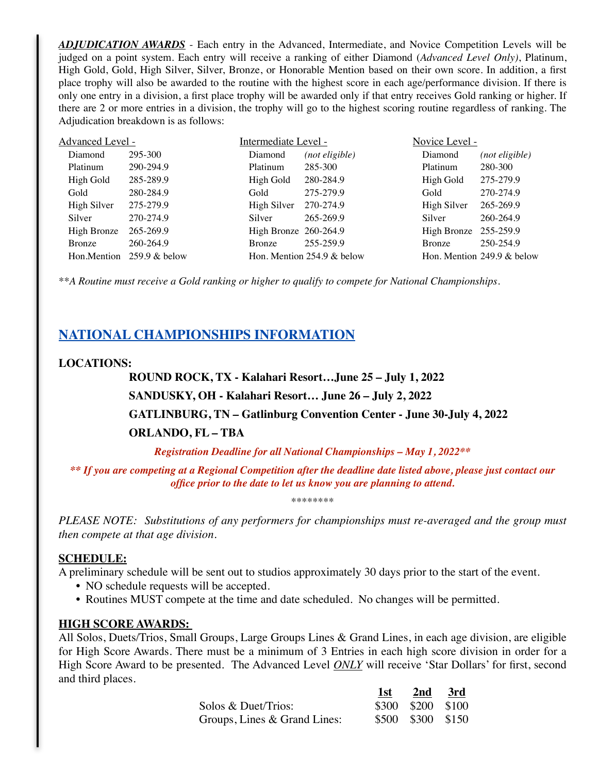*ADJUDICATION AWARDS* - Each entry in the Advanced, Intermediate, and Novice Competition Levels will be judged on a point system. Each entry will receive a ranking of either Diamond (*Advanced Level Only)*, Platinum, High Gold, Gold, High Silver, Silver, Bronze, or Honorable Mention based on their own score. In addition, a first place trophy will also be awarded to the routine with the highest score in each age/performance division. If there is only one entry in a division, a first place trophy will be awarded only if that entry receives Gold ranking or higher. If there are 2 or more entries in a division, the trophy will go to the highest scoring routine regardless of ranking. The Adjudication breakdown is as follows:

| Advanced Level - |                  | Intermediate Level -  |                               | Novice Level -        |                               |
|------------------|------------------|-----------------------|-------------------------------|-----------------------|-------------------------------|
| Diamond          | 295-300          | Diamond               | (not eligible)                | Diamond               | (not eligible)                |
| Platinum         | 290-294.9        | Platinum              | 285-300                       | Platinum              | 280-300                       |
| High Gold        | 285-289.9        | High Gold             | 280-284.9                     | High Gold             | 275-279.9                     |
| Gold             | 280-284.9        | Gold                  | 275-279.9                     | Gold                  | 270-274.9                     |
| High Silver      | 275-279.9        | High Silver           | 270-274.9                     | High Silver           | 265-269.9                     |
| Silver           | 270-274.9        | Silver                | 265-269.9                     | Silver                | 260-264.9                     |
| High Bronze      | 265-269.9        | High Bronze 260-264.9 |                               | High Bronze 255-259.9 |                               |
| <b>Bronze</b>    | 260-264.9        | <b>Bronze</b>         | 255-259.9                     | <b>Bronze</b>         | 250-254.9                     |
| Hon.Mention      | $259.9 \&$ below |                       | Hon. Mention $254.9 \&$ below |                       | Hon. Mention $249.9 \&$ below |

*\*\*A Routine must receive a Gold ranking or higher to qualify to compete for National Championships.*

# **NATIONAL CHAMPIONSHIPS INFORMATION**

### **LOCATIONS:**

**ROUND ROCK, TX - Kalahari Resort…June 25 – July 1, 2022 SANDUSKY, OH - Kalahari Resort… June 26 – July 2, 2022 GATLINBURG, TN – Gatlinburg Convention Center - June 30-July 4, 2022 ORLANDO, FL – TBA**

*Registration Deadline for all National Championships – May 1, 2022\*\**

*\*\* If you are competing at a Regional Competition after the deadline date listed above, please just contact our office prior to the date to let us know you are planning to attend.*

\*\*\*\*\*\*\*\*

*PLEASE NOTE: Substitutions of any performers for championships must re-averaged and the group must then compete at that age division.*

### **SCHEDULE:**

A preliminary schedule will be sent out to studios approximately 30 days prior to the start of the event.

- NO schedule requests will be accepted.
- Routines MUST compete at the time and date scheduled. No changes will be permitted.

#### **HIGH SCORE AWARDS:**

All Solos, Duets/Trios, Small Groups, Large Groups Lines & Grand Lines, in each age division, are eligible for High Score Awards. There must be a minimum of 3 Entries in each high score division in order for a High Score Award to be presented. The Advanced Level *ONLY* will receive 'Star Dollars' for first, second and third places.

|                              | 1st | $2nd \quad 3rd$   |  |
|------------------------------|-----|-------------------|--|
| Solos & Duet/Trios:          |     | \$300 \$200 \$100 |  |
| Groups, Lines & Grand Lines: |     | \$500 \$300 \$150 |  |